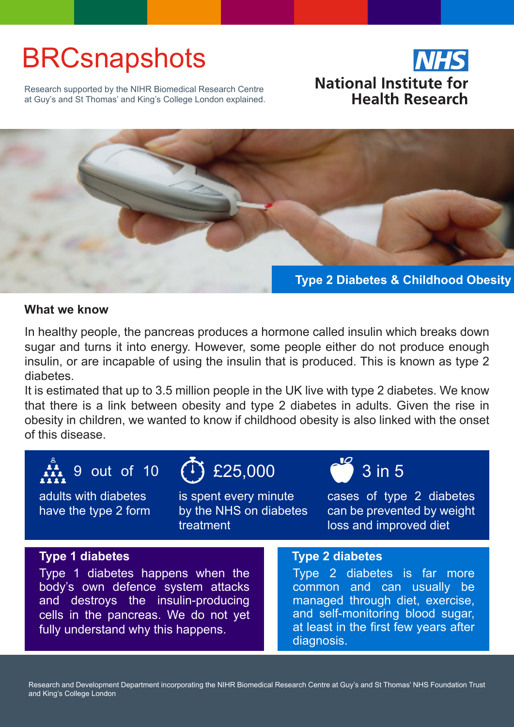# **BRCsnapshots**

Research supported by the NIHR Biomedical Research Centre at Guy's and St Thomas' and King's College London explained.





### **What we know**

In healthy people, the pancreas produces a hormone called insulin which breaks down sugar and turns it into energy. However, some people either do not produce enough insulin, or are incapable of using the insulin that is produced. This is known as type 2 diabetes.

It is estimated that up to 3.5 million people in the UK live with type 2 diabetes. We know that there is a link between obesity and type 2 diabetes in adults. Given the rise in obesity in children, we wanted to know if childhood obesity is also linked with the onset of this disease.



adults with diabetes have the type 2 form

is spent every minute by the NHS on diabetes treatment

cases of type 2 diabetes can be prevented by weight loss and improved diet

### **Type 1 diabetes Type 2 diabetes**

Type 1 diabetes happens when the body's own defence system attacks and destroys the insulin-producing cells in the pancreas. We do not yet fully understand why this happens.

Type 2 diabetes is far more common and can usually be managed through diet, exercise, and self-monitoring blood sugar, at least in the first few years after diagnosis.